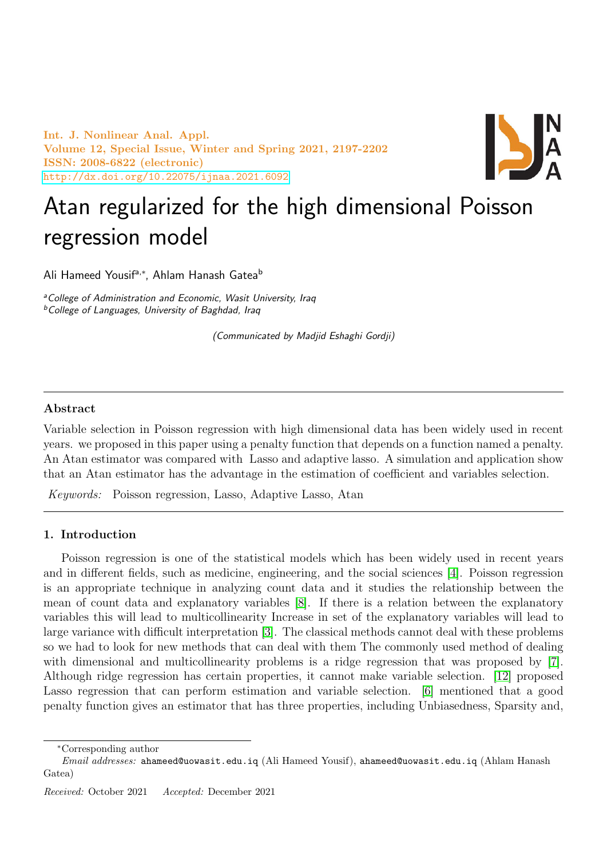Int. J. Nonlinear Anal. Appl. Volume 12, Special Issue, Winter and Spring 2021, 2197-2202 ISSN: 2008-6822 (electronic) <http://dx.doi.org/10.22075/ijnaa.2021.6092>



# Atan regularized for the high dimensional Poisson regression model

Ali Hameed Yousifª<sub>'</sub>\*, Ahlam Hanash Gatea<sup>b</sup>

<sup>a</sup>College of Administration and Economic, Wasit University, Iraq **bCollege of Languages, University of Baghdad, Iraq** 

(Communicated by Madjid Eshaghi Gordji)

## Abstract

Variable selection in Poisson regression with high dimensional data has been widely used in recent years. we proposed in this paper using a penalty function that depends on a function named a penalty. An Atan estimator was compared with Lasso and adaptive lasso. A simulation and application show that an Atan estimator has the advantage in the estimation of coefficient and variables selection.

Keywords: Poisson regression, Lasso, Adaptive Lasso, Atan

### 1. Introduction

Poisson regression is one of the statistical models which has been widely used in recent years and in different fields, such as medicine, engineering, and the social sciences [\[4\]](#page-5-0). Poisson regression is an appropriate technique in analyzing count data and it studies the relationship between the mean of count data and explanatory variables [\[8\]](#page-5-1). If there is a relation between the explanatory variables this will lead to multicollinearity Increase in set of the explanatory variables will lead to large variance with difficult interpretation [\[3\]](#page-5-2). The classical methods cannot deal with these problems so we had to look for new methods that can deal with them The commonly used method of dealing with dimensional and multicollinearity problems is a ridge regression that was proposed by [\[7\]](#page-5-3). Although ridge regression has certain properties, it cannot make variable selection. [\[12\]](#page-5-4) proposed Lasso regression that can perform estimation and variable selection. [\[6\]](#page-5-5) mentioned that a good penalty function gives an estimator that has three properties, including Unbiasedness, Sparsity and,

<sup>∗</sup>Corresponding author

Email addresses: ahameed@uowasit.edu.iq (Ali Hameed Yousif), ahameed@uowasit.edu.iq (Ahlam Hanash Gatea)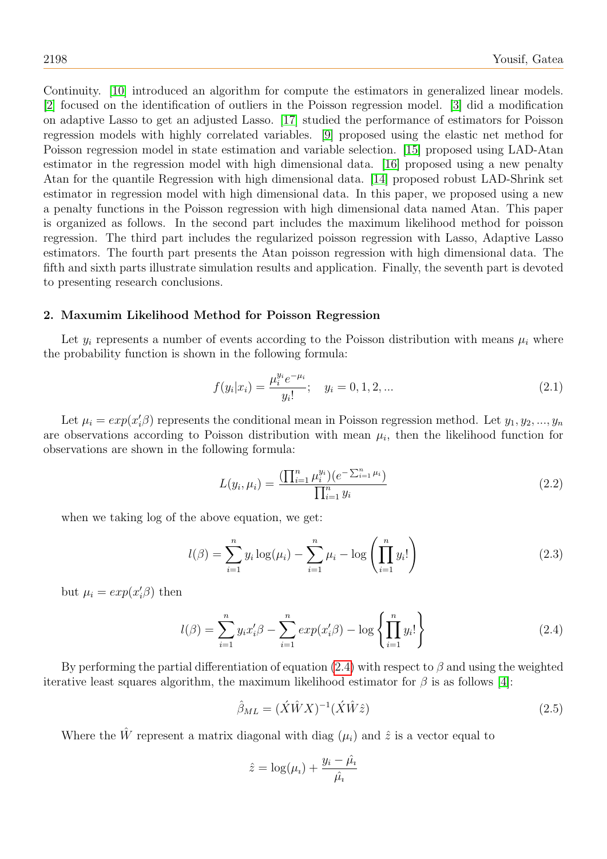Continuity. [\[10\]](#page-5-6) introduced an algorithm for compute the estimators in generalized linear models. [\[2\]](#page-5-7) focused on the identification of outliers in the Poisson regression model. [\[3\]](#page-5-2) did a modification on adaptive Lasso to get an adjusted Lasso. [\[17\]](#page-5-8) studied the performance of estimators for Poisson regression models with highly correlated variables. [\[9\]](#page-5-9) proposed using the elastic net method for Poisson regression model in state estimation and variable selection. [\[15\]](#page-5-10) proposed using LAD-Atan estimator in the regression model with high dimensional data. [\[16\]](#page-5-11) proposed using a new penalty Atan for the quantile Regression with high dimensional data. [\[14\]](#page-5-12) proposed robust LAD-Shrink set estimator in regression model with high dimensional data. In this paper, we proposed using a new a penalty functions in the Poisson regression with high dimensional data named Atan. This paper is organized as follows. In the second part includes the maximum likelihood method for poisson regression. The third part includes the regularized poisson regression with Lasso, Adaptive Lasso estimators. The fourth part presents the Atan poisson regression with high dimensional data. The fifth and sixth parts illustrate simulation results and application. Finally, the seventh part is devoted to presenting research conclusions.

#### 2. Maxumim Likelihood Method for Poisson Regression

Let  $y_i$  represents a number of events according to the Poisson distribution with means  $\mu_i$  where the probability function is shown in the following formula:

$$
f(y_i|x_i) = \frac{\mu_i^{y_i} e^{-\mu_i}}{y_i!}; \quad y_i = 0, 1, 2, \dots
$$
\n(2.1)

Let  $\mu_i = exp(x_i' \beta)$  represents the conditional mean in Poisson regression method. Let  $y_1, y_2, ..., y_n$ are observations according to Poisson distribution with mean  $\mu_i$ , then the likelihood function for observations are shown in the following formula:

$$
L(y_i, \mu_i) = \frac{\left(\prod_{i=1}^n \mu_i^{y_i}\right)(e^{-\sum_{i=1}^n \mu_i})}{\prod_{i=1}^n y_i}
$$
\n(2.2)

when we taking log of the above equation, we get:

$$
l(\beta) = \sum_{i=1}^{n} y_i \log(\mu_i) - \sum_{i=1}^{n} \mu_i - \log\left(\prod_{i=1}^{n} y_i!\right)
$$
 (2.3)

but  $\mu_i = exp(x_i' \beta)$  then

<span id="page-1-0"></span>
$$
l(\beta) = \sum_{i=1}^{n} y_i x_i' \beta - \sum_{i=1}^{n} \exp(x_i' \beta) - \log \left\{ \prod_{i=1}^{n} y_i! \right\}
$$
 (2.4)

By performing the partial differentiation of equation [\(2.4\)](#page-1-0) with respect to  $\beta$  and using the weighted iterative least squares algorithm, the maximum likelihood estimator for  $\beta$  is as follows [\[4\]](#page-5-0):

$$
\hat{\beta}_{ML} = (\acute{X}\acute{W}X)^{-1}(\acute{X}\acute{W}\hat{z})\tag{2.5}
$$

Where the  $\hat{W}$  represent a matrix diagonal with diag  $(\mu_i)$  and  $\hat{z}$  is a vector equal to

$$
\hat{z} = \log(\mu_i) + \frac{y_i - \hat{\mu_i}}{\hat{\mu_i}}
$$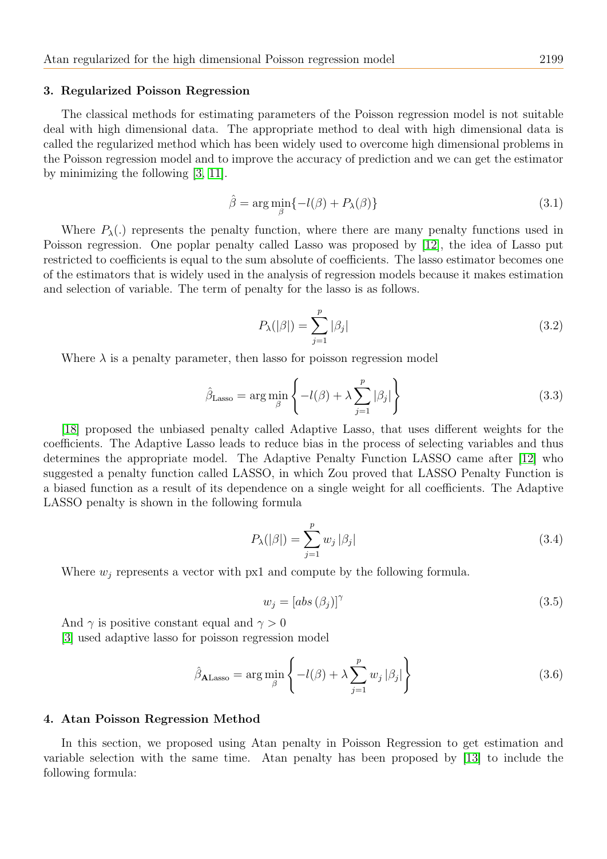#### 3. Regularized Poisson Regression

The classical methods for estimating parameters of the Poisson regression model is not suitable deal with high dimensional data. The appropriate method to deal with high dimensional data is called the regularized method which has been widely used to overcome high dimensional problems in the Poisson regression model and to improve the accuracy of prediction and we can get the estimator by minimizing the following [\[3,](#page-5-2) [11\]](#page-5-13).

$$
\hat{\beta} = \arg\min_{\beta} \{-l(\beta) + P_{\lambda}(\beta)\}\tag{3.1}
$$

Where  $P_{\lambda}$ . represents the penalty function, where there are many penalty functions used in Poisson regression. One poplar penalty called Lasso was proposed by [\[12\]](#page-5-4), the idea of Lasso put restricted to coefficients is equal to the sum absolute of coefficients. The lasso estimator becomes one of the estimators that is widely used in the analysis of regression models because it makes estimation and selection of variable. The term of penalty for the lasso is as follows.

$$
P_{\lambda}(|\beta|) = \sum_{j=1}^{p} |\beta_j| \tag{3.2}
$$

Where  $\lambda$  is a penalty parameter, then lasso for poisson regression model

$$
\hat{\beta}_{\text{Lasso}} = \arg \min_{\beta} \left\{ -l(\beta) + \lambda \sum_{j=1}^{p} |\beta_j| \right\} \tag{3.3}
$$

[\[18\]](#page-5-14) proposed the unbiased penalty called Adaptive Lasso, that uses different weights for the coefficients. The Adaptive Lasso leads to reduce bias in the process of selecting variables and thus determines the appropriate model. The Adaptive Penalty Function LASSO came after [\[12\]](#page-5-4) who suggested a penalty function called LASSO, in which Zou proved that LASSO Penalty Function is a biased function as a result of its dependence on a single weight for all coefficients. The Adaptive LASSO penalty is shown in the following formula

$$
P_{\lambda}(|\beta|) = \sum_{j=1}^{p} w_j |\beta_j| \tag{3.4}
$$

Where  $w_i$  represents a vector with px1 and compute by the following formula.

$$
w_j = [abs(\beta_j)]^{\gamma}
$$
\n(3.5)

And  $\gamma$  is positive constant equal and  $\gamma > 0$ 

[\[3\]](#page-5-2) used adaptive lasso for poisson regression model

$$
\hat{\beta}_{\text{ALasso}} = \arg \min_{\beta} \left\{ -l(\beta) + \lambda \sum_{j=1}^{p} w_j |\beta_j| \right\}
$$
\n(3.6)

#### 4. Atan Poisson Regression Method

In this section, we proposed using Atan penalty in Poisson Regression to get estimation and variable selection with the same time. Atan penalty has been proposed by [\[13\]](#page-5-15) to include the following formula: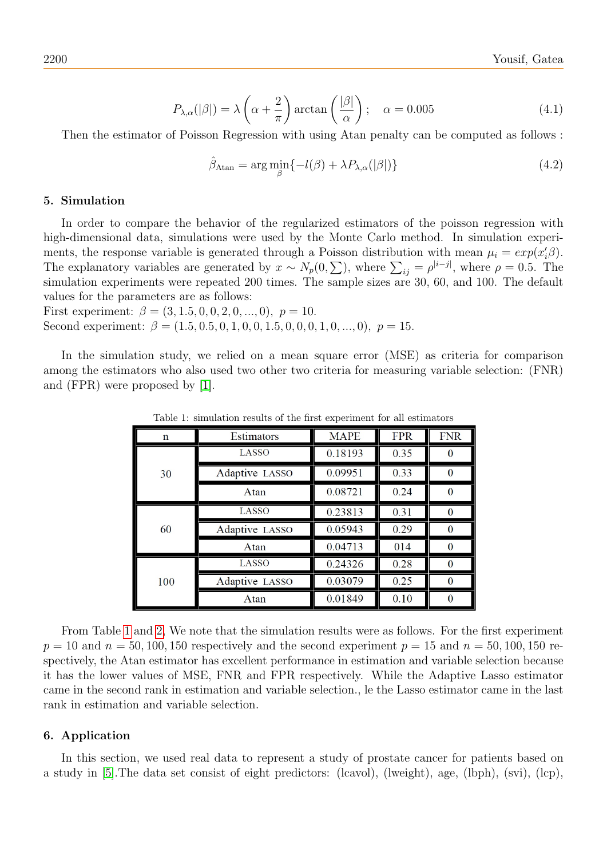$$
P_{\lambda,\alpha}(|\beta|) = \lambda \left(\alpha + \frac{2}{\pi}\right) \arctan\left(\frac{|\beta|}{\alpha}\right); \quad \alpha = 0.005
$$
 (4.1)

Then the estimator of Poisson Regression with using Atan penalty can be computed as follows :

$$
\hat{\beta}_{\text{Atan}} = \arg\min_{\beta} \{-l(\beta) + \lambda P_{\lambda,\alpha}(|\beta|)\}\tag{4.2}
$$

#### 5. Simulation

In order to compare the behavior of the regularized estimators of the poisson regression with high-dimensional data, simulations were used by the Monte Carlo method. In simulation experiments, the response variable is generated through a Poisson distribution with mean  $\mu_i = exp(x_i' \beta)$ . The explanatory variables are generated by  $x \sim N_p(0, \sum)$ , where  $\sum_{ij} = \rho^{|i-j|}$ , where  $\rho = 0.5$ . The simulation experiments were repeated 200 times. The sample sizes are 30, 60, and 100. The default values for the parameters are as follows:

First experiment:  $\beta = (3, 1.5, 0, 0, 2, 0, ..., 0), p = 10.$ Second experiment:  $\beta = (1.5, 0.5, 0, 1, 0, 0, 1.5, 0, 0, 0, 1, 0, \ldots, 0), p = 15.$ 

In the simulation study, we relied on a mean square error (MSE) as criteria for comparison among the estimators who also used two other two criteria for measuring variable selection: (FNR) and (FPR) were proposed by [\[1\]](#page-5-16).

| $\mathbf n$ | Estimators     | <b>MAPE</b> | <b>FPR</b> | <b>FNR</b> |
|-------------|----------------|-------------|------------|------------|
| 30          | LASSO          | 0.18193     | 0.35       |            |
|             | Adaptive LASSO | 0.09951     | 0.33       |            |
|             | Atan           | 0.08721     | 0.24       |            |
| 60          | LASSO          | 0.23813     | 0.31       | $\Omega$   |
|             | Adaptive LASSO | 0.05943     | 0.29       | $\Omega$   |
|             | Atan           | 0.04713     | 014        | $\Omega$   |
| 100         | LASSO          | 0.24326     | 0.28       | $\Omega$   |
|             | Adaptive LASSO | 0.03079     | 0.25       |            |
|             | Atan           | 0.01849     | 0.10       |            |

<span id="page-3-0"></span>Table 1: simulation results of the first experiment for all estimators

From Table [1](#page-3-0) and [2,](#page-4-0) We note that the simulation results were as follows. For the first experiment  $p = 10$  and  $n = 50, 100, 150$  respectively and the second experiment  $p = 15$  and  $n = 50, 100, 150$  respectively, the Atan estimator has excellent performance in estimation and variable selection because it has the lower values of MSE, FNR and FPR respectively. While the Adaptive Lasso estimator came in the second rank in estimation and variable selection., le the Lasso estimator came in the last rank in estimation and variable selection.

#### 6. Application

In this section, we used real data to represent a study of prostate cancer for patients based on a study in [\[5\]](#page-5-17).The data set consist of eight predictors: (lcavol), (lweight), age, (lbph), (svi), (lcp),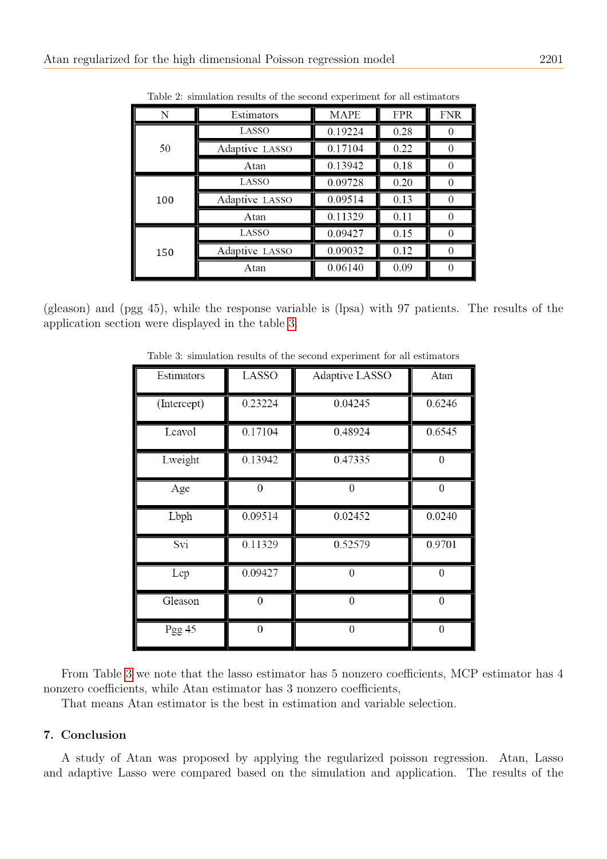| N   | Estimators     | <b>MAPE</b> | <b>FPR</b> | <b>FNR</b> |
|-----|----------------|-------------|------------|------------|
| 50  | LASSO          | 0.19224     | 0.28       |            |
|     | Adaptive LASSO | 0.17104     | 0.22       |            |
|     | Atan           | 0.13942     | 0.18       |            |
| 100 | LASSO          | 0.09728     | 0.20       |            |
|     | Adaptive LASSO | 0.09514     | 0.13       |            |
|     | Atan           | 0.11329     | 0.11       |            |
| 150 | LASSO          | 0.09427     | 0.15       |            |
|     | Adaptive LASSO | 0.09032     | 0.12       |            |
|     | Atan           | 0.06140     | 0.09       |            |

<span id="page-4-0"></span>Table 2: simulation results of the second experiment for all estimators

(gleason) and (pgg 45), while the response variable is (lpsa) with 97 patients. The results of the application section were displayed in the table [3.](#page-4-1)

Estimators LASSO **Adaptive LASSO** Atan 0.04245 0.23224 0.6246 (Intercept) 0.48924 0.6545 Lcavol 0.17104 Lweight 0.13942 0.47335  $\bf{0}$  $\overline{0}$  $\overline{0}$  $\overline{0}$ Age Lbph 0.09514 0.02452 0.0240 0.52579 0.9701 Svi 0.11329 0.09427 Lep  $\boldsymbol{0}$  $\bf{0}$ Gleason  $\bf{0}$  $\overline{0}$  $\boldsymbol{0}$ Pgg 45  $\boldsymbol{0}$  $\boldsymbol{0}$  $\boldsymbol{0}$ 

<span id="page-4-1"></span>Table 3: simulation results of the second experiment for all estimators

From Table [3](#page-4-1) we note that the lasso estimator has 5 nonzero coefficients, MCP estimator has 4 nonzero coefficients, while Atan estimator has 3 nonzero coefficients,

That means Atan estimator is the best in estimation and variable selection.

# 7. Conclusion

A study of Atan was proposed by applying the regularized poisson regression. Atan, Lasso and adaptive Lasso were compared based on the simulation and application. The results of the